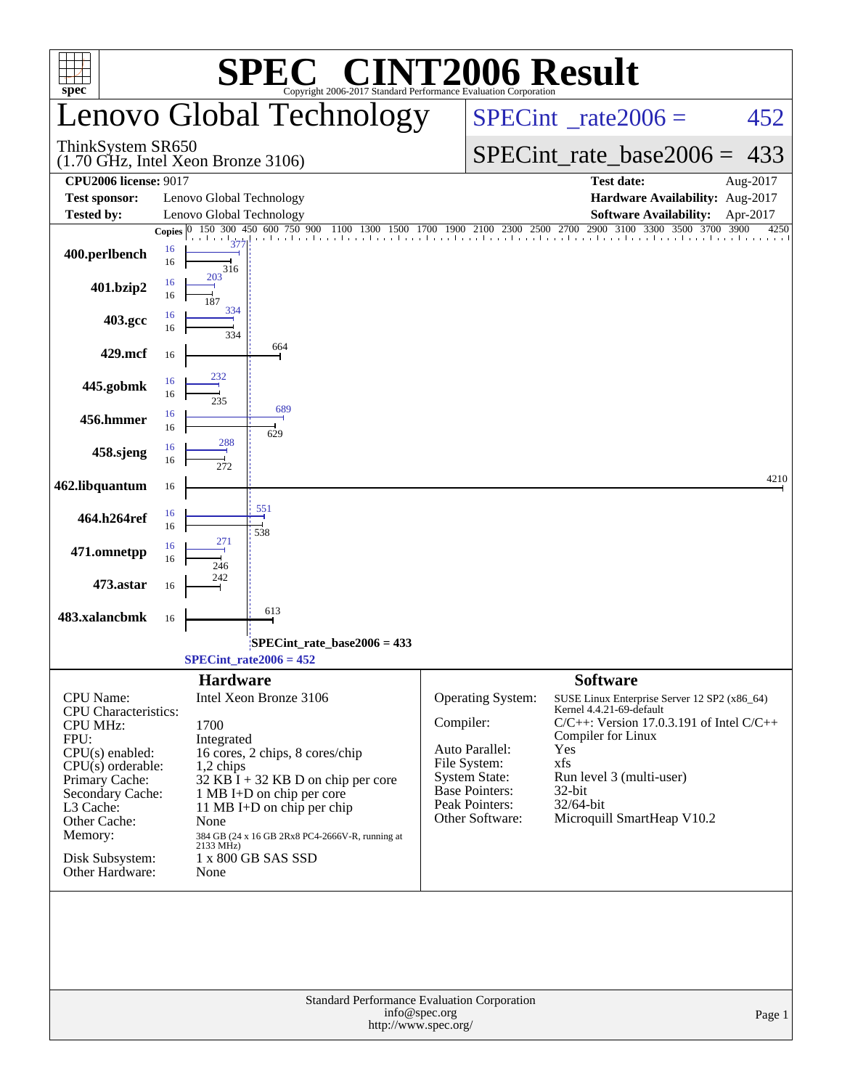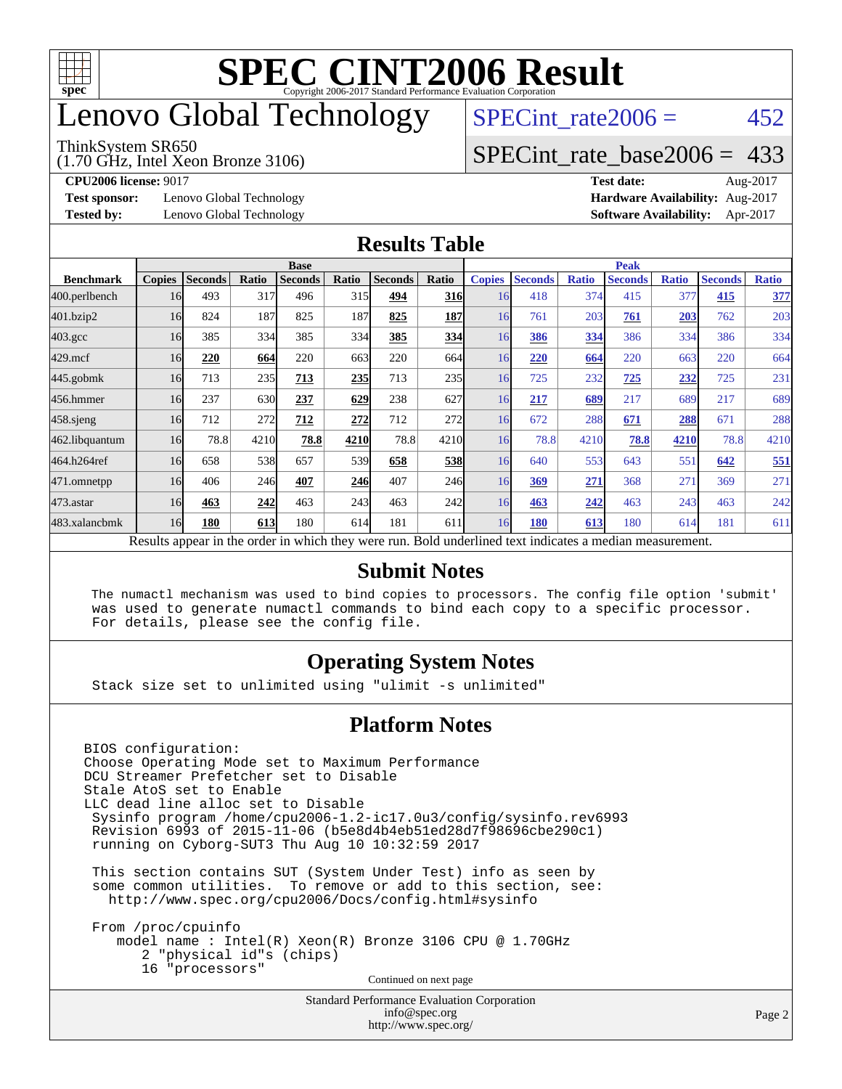

## enovo Global Technology

#### ThinkSystem SR650

(1.70 GHz, Intel Xeon Bronze 3106)

 $SPECTnt_rate2006 = 452$ [SPECint\\_rate\\_base2006 =](http://www.spec.org/auto/cpu2006/Docs/result-fields.html#SPECintratebase2006) 433

**[Test sponsor:](http://www.spec.org/auto/cpu2006/Docs/result-fields.html#Testsponsor)** Lenovo Global Technology **[Hardware Availability:](http://www.spec.org/auto/cpu2006/Docs/result-fields.html#HardwareAvailability)** Aug-2017

**[CPU2006 license:](http://www.spec.org/auto/cpu2006/Docs/result-fields.html#CPU2006license)** 9017 **[Test date:](http://www.spec.org/auto/cpu2006/Docs/result-fields.html#Testdate)** Aug-2017 **[Tested by:](http://www.spec.org/auto/cpu2006/Docs/result-fields.html#Testedby)** Lenovo Global Technology **[Software Availability:](http://www.spec.org/auto/cpu2006/Docs/result-fields.html#SoftwareAvailability)** Apr-2017

### **[Results Table](http://www.spec.org/auto/cpu2006/Docs/result-fields.html#ResultsTable)**

|                  | <b>Base</b>                                                                                              |                |       |                |       |                |            | <b>Peak</b>   |                |              |                |              |                |              |
|------------------|----------------------------------------------------------------------------------------------------------|----------------|-------|----------------|-------|----------------|------------|---------------|----------------|--------------|----------------|--------------|----------------|--------------|
| <b>Benchmark</b> | <b>Copies</b>                                                                                            | <b>Seconds</b> | Ratio | <b>Seconds</b> | Ratio | <b>Seconds</b> | Ratio      | <b>Copies</b> | <b>Seconds</b> | <b>Ratio</b> | <b>Seconds</b> | <b>Ratio</b> | <b>Seconds</b> | <b>Ratio</b> |
| 400.perlbench    | 16                                                                                                       | 493            | 317   | 496            | 315   | 494            | <b>316</b> | 16            | 418            | 374          | 415            | 377          | 415            | 377          |
| 401.bzip2        | 16                                                                                                       | 824            | 187   | 825            | 187   | 825            | 187        | 16            | 761            | 203          | 761            | 203          | 762            | 203          |
| $403.\text{gcc}$ | 16                                                                                                       | 385            | 334   | 385            | 334   | 385            | 334        | 16            | 386            | 334          | 386            | 334          | 386            | 334          |
| $429$ .mcf       | 16                                                                                                       | 220            | 664   | 220            | 663   | 220            | 664        | 16            | 220            | 664          | 220            | 663          | 220            | 664          |
| $445$ .gobm $k$  | 16                                                                                                       | 713            | 235   | 713            | 235   | 713            | 235        | 16            | 725            | 232          | 725            | 232          | 725            | 231          |
| 456.hmmer        | 16                                                                                                       | 237            | 630   | 237            | 629   | 238            | 627        | 16            | 217            | 689          | 217            | 689          | 217            | 689          |
| $458$ .sjeng     | 16                                                                                                       | 712            | 272   | 712            | 272   | 712            | 272l       | 16            | 672            | 288          | 671            | 288          | 671            | 288          |
| 462.libquantum   | 16                                                                                                       | 78.8           | 4210  | 78.8           | 4210  | 78.8           | 4210       | 16            | 78.8           | 4210         | 78.8           | 4210         | 78.8           | 4210         |
| 464.h264ref      | 16                                                                                                       | 658            | 538   | 657            | 539   | 658            | 538        | 16            | 640            | 553          | 643            | 551          | 642            | 551          |
| 471.omnetpp      | 16                                                                                                       | 406            | 246   | 407            | 246   | 407            | 246I       | 16            | 369            | 271          | 368            | 271          | 369            | 271          |
| $473$ . astar    | 16                                                                                                       | 463            | 242   | 463            | 243   | 463            | 242        | 16            | 463            | 242          | 463            | 243          | 463            | 242          |
| 483.xalancbmk    | 16                                                                                                       | 180            | 613   | 180            | 614   | 181            | 611        | 16            | 180            | 613          | 180            | 614          | 181            | 611          |
|                  | Results appear in the order in which they were run. Bold underlined text indicates a median measurement. |                |       |                |       |                |            |               |                |              |                |              |                |              |

### **[Submit Notes](http://www.spec.org/auto/cpu2006/Docs/result-fields.html#SubmitNotes)**

 The numactl mechanism was used to bind copies to processors. The config file option 'submit' was used to generate numactl commands to bind each copy to a specific processor. For details, please see the config file.

### **[Operating System Notes](http://www.spec.org/auto/cpu2006/Docs/result-fields.html#OperatingSystemNotes)**

Stack size set to unlimited using "ulimit -s unlimited"

### **[Platform Notes](http://www.spec.org/auto/cpu2006/Docs/result-fields.html#PlatformNotes)**

Standard Performance Evaluation Corporation [info@spec.org](mailto:info@spec.org) BIOS configuration: Choose Operating Mode set to Maximum Performance DCU Streamer Prefetcher set to Disable Stale AtoS set to Enable LLC dead line alloc set to Disable Sysinfo program /home/cpu2006-1.2-ic17.0u3/config/sysinfo.rev6993 Revision 6993 of 2015-11-06 (b5e8d4b4eb51ed28d7f98696cbe290c1) running on Cyborg-SUT3 Thu Aug 10 10:32:59 2017 This section contains SUT (System Under Test) info as seen by some common utilities. To remove or add to this section, see: <http://www.spec.org/cpu2006/Docs/config.html#sysinfo> From /proc/cpuinfo model name : Intel(R) Xeon(R) Bronze 3106 CPU @ 1.70GHz 2 "physical id"s (chips) 16 "processors" Continued on next page

<http://www.spec.org/>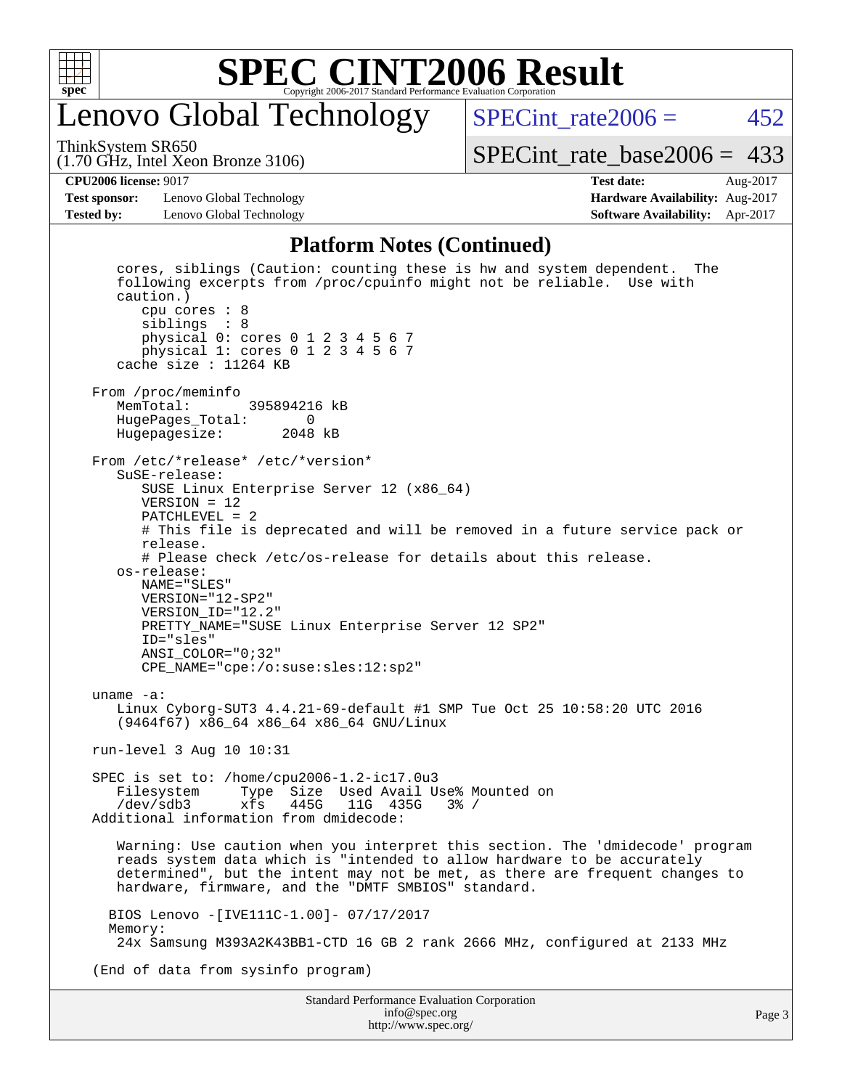

### enovo Global Technology

SPECint rate $2006 = 452$ [SPECint\\_rate\\_base2006 =](http://www.spec.org/auto/cpu2006/Docs/result-fields.html#SPECintratebase2006)  $433$ 

(1.70 GHz, Intel Xeon Bronze 3106) ThinkSystem SR650

**[Test sponsor:](http://www.spec.org/auto/cpu2006/Docs/result-fields.html#Testsponsor)** Lenovo Global Technology **[Hardware Availability:](http://www.spec.org/auto/cpu2006/Docs/result-fields.html#HardwareAvailability)** Aug-2017 **[Tested by:](http://www.spec.org/auto/cpu2006/Docs/result-fields.html#Testedby)** Lenovo Global Technology **[Software Availability:](http://www.spec.org/auto/cpu2006/Docs/result-fields.html#SoftwareAvailability)** Apr-2017

### **[CPU2006 license:](http://www.spec.org/auto/cpu2006/Docs/result-fields.html#CPU2006license)** 9017 **[Test date:](http://www.spec.org/auto/cpu2006/Docs/result-fields.html#Testdate)** Aug-2017

#### **[Platform Notes \(Continued\)](http://www.spec.org/auto/cpu2006/Docs/result-fields.html#PlatformNotes)**

 cores, siblings (Caution: counting these is hw and system dependent. The following excerpts from /proc/cpuinfo might not be reliable. Use with caution.) cpu cores : 8 siblings : 8 physical 0: cores 0 1 2 3 4 5 6 7 physical 1: cores 0 1 2 3 4 5 6 7 cache size : 11264 KB From /proc/meminfo<br>MemTotal: 395894216 kB HugePages\_Total: 0 Hugepagesize: 2048 kB From /etc/\*release\* /etc/\*version\* SuSE-release: SUSE Linux Enterprise Server 12 (x86\_64) VERSION = 12 PATCHLEVEL = 2 # This file is deprecated and will be removed in a future service pack or release. # Please check /etc/os-release for details about this release. os-release: NAME="SLES" VERSION="12-SP2" VERSION\_ID="12.2" PRETTY\_NAME="SUSE Linux Enterprise Server 12 SP2" ID="sles" ANSI\_COLOR="0;32" CPE\_NAME="cpe:/o:suse:sles:12:sp2" uname -a: Linux Cyborg-SUT3 4.4.21-69-default #1 SMP Tue Oct 25 10:58:20 UTC 2016 (9464f67) x86\_64 x86\_64 x86\_64 GNU/Linux run-level 3 Aug 10 10:31 SPEC is set to: /home/cpu2006-1.2-ic17.0u3 Type Size Used Avail Use% Mounted on /dev/sdb3 xfs 445G 11G 435G 3% / Additional information from dmidecode: Warning: Use caution when you interpret this section. The 'dmidecode' program reads system data which is "intended to allow hardware to be accurately determined", but the intent may not be met, as there are frequent changes to hardware, firmware, and the "DMTF SMBIOS" standard. BIOS Lenovo -[IVE111C-1.00]- 07/17/2017 Memory: 24x Samsung M393A2K43BB1-CTD 16 GB 2 rank 2666 MHz, configured at 2133 MHz (End of data from sysinfo program)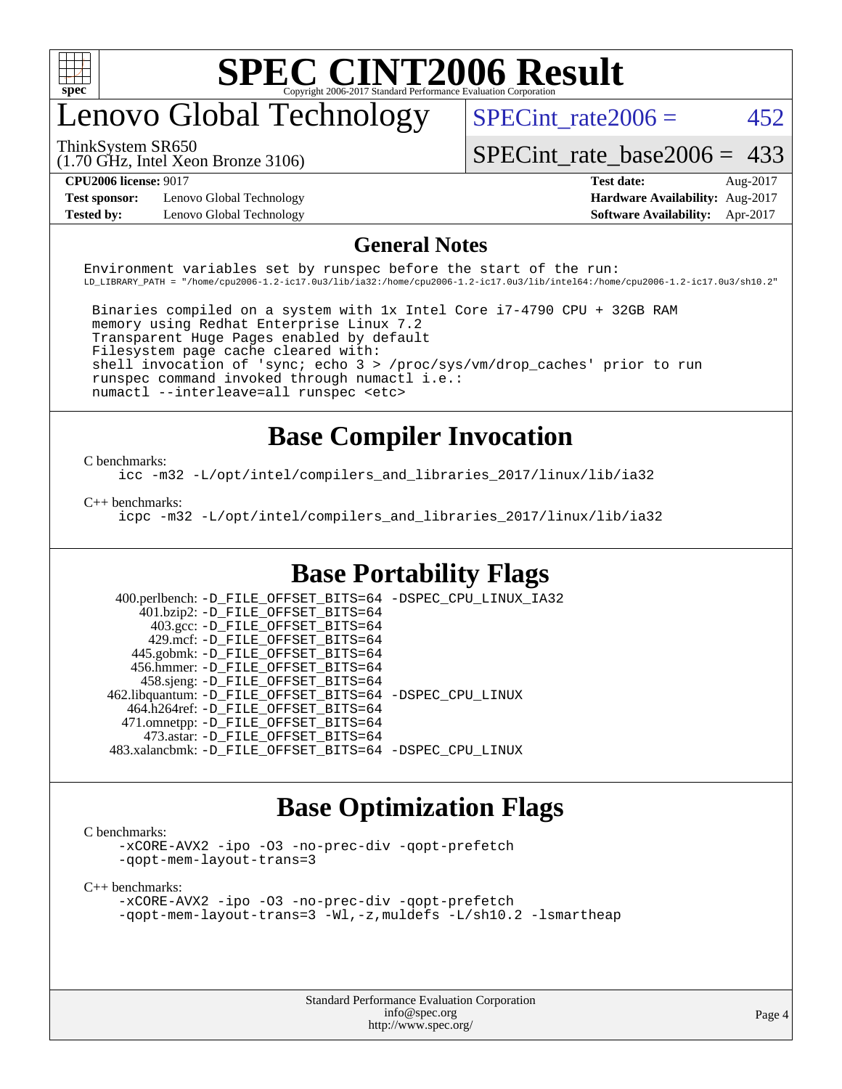

### enovo Global Technology

 $SPECTnt_rate2006 = 452$ 

ThinkSystem SR650

(1.70 GHz, Intel Xeon Bronze 3106)

[SPECint\\_rate\\_base2006 =](http://www.spec.org/auto/cpu2006/Docs/result-fields.html#SPECintratebase2006) 433

**[Test sponsor:](http://www.spec.org/auto/cpu2006/Docs/result-fields.html#Testsponsor)** Lenovo Global Technology **[Hardware Availability:](http://www.spec.org/auto/cpu2006/Docs/result-fields.html#HardwareAvailability)** Aug-2017

**[CPU2006 license:](http://www.spec.org/auto/cpu2006/Docs/result-fields.html#CPU2006license)** 9017 **[Test date:](http://www.spec.org/auto/cpu2006/Docs/result-fields.html#Testdate)** Aug-2017 **[Tested by:](http://www.spec.org/auto/cpu2006/Docs/result-fields.html#Testedby)** Lenovo Global Technology **[Software Availability:](http://www.spec.org/auto/cpu2006/Docs/result-fields.html#SoftwareAvailability)** Apr-2017

### **[General Notes](http://www.spec.org/auto/cpu2006/Docs/result-fields.html#GeneralNotes)**

Environment variables set by runspec before the start of the run: LD\_LIBRARY\_PATH = "/home/cpu2006-1.2-ic17.0u3/lib/ia32:/home/cpu2006-1.2-ic17.0u3/lib/intel64:/home/cpu2006-1.2-ic17.0u3/sh10.2"

 Binaries compiled on a system with 1x Intel Core i7-4790 CPU + 32GB RAM memory using Redhat Enterprise Linux 7.2 Transparent Huge Pages enabled by default Filesystem page cache cleared with: shell invocation of 'sync; echo 3 > /proc/sys/vm/drop\_caches' prior to run runspec command invoked through numactl i.e.: numactl --interleave=all runspec <etc>

### **[Base Compiler Invocation](http://www.spec.org/auto/cpu2006/Docs/result-fields.html#BaseCompilerInvocation)**

[C benchmarks](http://www.spec.org/auto/cpu2006/Docs/result-fields.html#Cbenchmarks):

[icc -m32 -L/opt/intel/compilers\\_and\\_libraries\\_2017/linux/lib/ia32](http://www.spec.org/cpu2006/results/res2017q4/cpu2006-20170918-49696.flags.html#user_CCbase_intel_icc_c29f3ff5a7ed067b11e4ec10a03f03ae)

[C++ benchmarks:](http://www.spec.org/auto/cpu2006/Docs/result-fields.html#CXXbenchmarks)

[icpc -m32 -L/opt/intel/compilers\\_and\\_libraries\\_2017/linux/lib/ia32](http://www.spec.org/cpu2006/results/res2017q4/cpu2006-20170918-49696.flags.html#user_CXXbase_intel_icpc_8c35c7808b62dab9ae41a1aa06361b6b)

### **[Base Portability Flags](http://www.spec.org/auto/cpu2006/Docs/result-fields.html#BasePortabilityFlags)**

 400.perlbench: [-D\\_FILE\\_OFFSET\\_BITS=64](http://www.spec.org/cpu2006/results/res2017q4/cpu2006-20170918-49696.flags.html#user_basePORTABILITY400_perlbench_file_offset_bits_64_438cf9856305ebd76870a2c6dc2689ab) [-DSPEC\\_CPU\\_LINUX\\_IA32](http://www.spec.org/cpu2006/results/res2017q4/cpu2006-20170918-49696.flags.html#b400.perlbench_baseCPORTABILITY_DSPEC_CPU_LINUX_IA32) 401.bzip2: [-D\\_FILE\\_OFFSET\\_BITS=64](http://www.spec.org/cpu2006/results/res2017q4/cpu2006-20170918-49696.flags.html#user_basePORTABILITY401_bzip2_file_offset_bits_64_438cf9856305ebd76870a2c6dc2689ab) 403.gcc: [-D\\_FILE\\_OFFSET\\_BITS=64](http://www.spec.org/cpu2006/results/res2017q4/cpu2006-20170918-49696.flags.html#user_basePORTABILITY403_gcc_file_offset_bits_64_438cf9856305ebd76870a2c6dc2689ab) 429.mcf: [-D\\_FILE\\_OFFSET\\_BITS=64](http://www.spec.org/cpu2006/results/res2017q4/cpu2006-20170918-49696.flags.html#user_basePORTABILITY429_mcf_file_offset_bits_64_438cf9856305ebd76870a2c6dc2689ab) 445.gobmk: [-D\\_FILE\\_OFFSET\\_BITS=64](http://www.spec.org/cpu2006/results/res2017q4/cpu2006-20170918-49696.flags.html#user_basePORTABILITY445_gobmk_file_offset_bits_64_438cf9856305ebd76870a2c6dc2689ab) 456.hmmer: [-D\\_FILE\\_OFFSET\\_BITS=64](http://www.spec.org/cpu2006/results/res2017q4/cpu2006-20170918-49696.flags.html#user_basePORTABILITY456_hmmer_file_offset_bits_64_438cf9856305ebd76870a2c6dc2689ab) 458.sjeng: [-D\\_FILE\\_OFFSET\\_BITS=64](http://www.spec.org/cpu2006/results/res2017q4/cpu2006-20170918-49696.flags.html#user_basePORTABILITY458_sjeng_file_offset_bits_64_438cf9856305ebd76870a2c6dc2689ab) 462.libquantum: [-D\\_FILE\\_OFFSET\\_BITS=64](http://www.spec.org/cpu2006/results/res2017q4/cpu2006-20170918-49696.flags.html#user_basePORTABILITY462_libquantum_file_offset_bits_64_438cf9856305ebd76870a2c6dc2689ab) [-DSPEC\\_CPU\\_LINUX](http://www.spec.org/cpu2006/results/res2017q4/cpu2006-20170918-49696.flags.html#b462.libquantum_baseCPORTABILITY_DSPEC_CPU_LINUX) 464.h264ref: [-D\\_FILE\\_OFFSET\\_BITS=64](http://www.spec.org/cpu2006/results/res2017q4/cpu2006-20170918-49696.flags.html#user_basePORTABILITY464_h264ref_file_offset_bits_64_438cf9856305ebd76870a2c6dc2689ab) 471.omnetpp: [-D\\_FILE\\_OFFSET\\_BITS=64](http://www.spec.org/cpu2006/results/res2017q4/cpu2006-20170918-49696.flags.html#user_basePORTABILITY471_omnetpp_file_offset_bits_64_438cf9856305ebd76870a2c6dc2689ab) 473.astar: [-D\\_FILE\\_OFFSET\\_BITS=64](http://www.spec.org/cpu2006/results/res2017q4/cpu2006-20170918-49696.flags.html#user_basePORTABILITY473_astar_file_offset_bits_64_438cf9856305ebd76870a2c6dc2689ab) 483.xalancbmk: [-D\\_FILE\\_OFFSET\\_BITS=64](http://www.spec.org/cpu2006/results/res2017q4/cpu2006-20170918-49696.flags.html#user_basePORTABILITY483_xalancbmk_file_offset_bits_64_438cf9856305ebd76870a2c6dc2689ab) [-DSPEC\\_CPU\\_LINUX](http://www.spec.org/cpu2006/results/res2017q4/cpu2006-20170918-49696.flags.html#b483.xalancbmk_baseCXXPORTABILITY_DSPEC_CPU_LINUX)

### **[Base Optimization Flags](http://www.spec.org/auto/cpu2006/Docs/result-fields.html#BaseOptimizationFlags)**

[C benchmarks](http://www.spec.org/auto/cpu2006/Docs/result-fields.html#Cbenchmarks):

[-xCORE-AVX2](http://www.spec.org/cpu2006/results/res2017q4/cpu2006-20170918-49696.flags.html#user_CCbase_f-xCORE-AVX2) [-ipo](http://www.spec.org/cpu2006/results/res2017q4/cpu2006-20170918-49696.flags.html#user_CCbase_f-ipo) [-O3](http://www.spec.org/cpu2006/results/res2017q4/cpu2006-20170918-49696.flags.html#user_CCbase_f-O3) [-no-prec-div](http://www.spec.org/cpu2006/results/res2017q4/cpu2006-20170918-49696.flags.html#user_CCbase_f-no-prec-div) [-qopt-prefetch](http://www.spec.org/cpu2006/results/res2017q4/cpu2006-20170918-49696.flags.html#user_CCbase_f-qopt-prefetch) [-qopt-mem-layout-trans=3](http://www.spec.org/cpu2006/results/res2017q4/cpu2006-20170918-49696.flags.html#user_CCbase_f-qopt-mem-layout-trans_170f5be61cd2cedc9b54468c59262d5d)

[C++ benchmarks:](http://www.spec.org/auto/cpu2006/Docs/result-fields.html#CXXbenchmarks)

[-xCORE-AVX2](http://www.spec.org/cpu2006/results/res2017q4/cpu2006-20170918-49696.flags.html#user_CXXbase_f-xCORE-AVX2) [-ipo](http://www.spec.org/cpu2006/results/res2017q4/cpu2006-20170918-49696.flags.html#user_CXXbase_f-ipo) [-O3](http://www.spec.org/cpu2006/results/res2017q4/cpu2006-20170918-49696.flags.html#user_CXXbase_f-O3) [-no-prec-div](http://www.spec.org/cpu2006/results/res2017q4/cpu2006-20170918-49696.flags.html#user_CXXbase_f-no-prec-div) [-qopt-prefetch](http://www.spec.org/cpu2006/results/res2017q4/cpu2006-20170918-49696.flags.html#user_CXXbase_f-qopt-prefetch) [-qopt-mem-layout-trans=3](http://www.spec.org/cpu2006/results/res2017q4/cpu2006-20170918-49696.flags.html#user_CXXbase_f-qopt-mem-layout-trans_170f5be61cd2cedc9b54468c59262d5d) [-Wl,-z,muldefs](http://www.spec.org/cpu2006/results/res2017q4/cpu2006-20170918-49696.flags.html#user_CXXbase_link_force_multiple1_74079c344b956b9658436fd1b6dd3a8a) [-L/sh10.2 -lsmartheap](http://www.spec.org/cpu2006/results/res2017q4/cpu2006-20170918-49696.flags.html#user_CXXbase_SmartHeap_b831f2d313e2fffa6dfe3f00ffc1f1c0)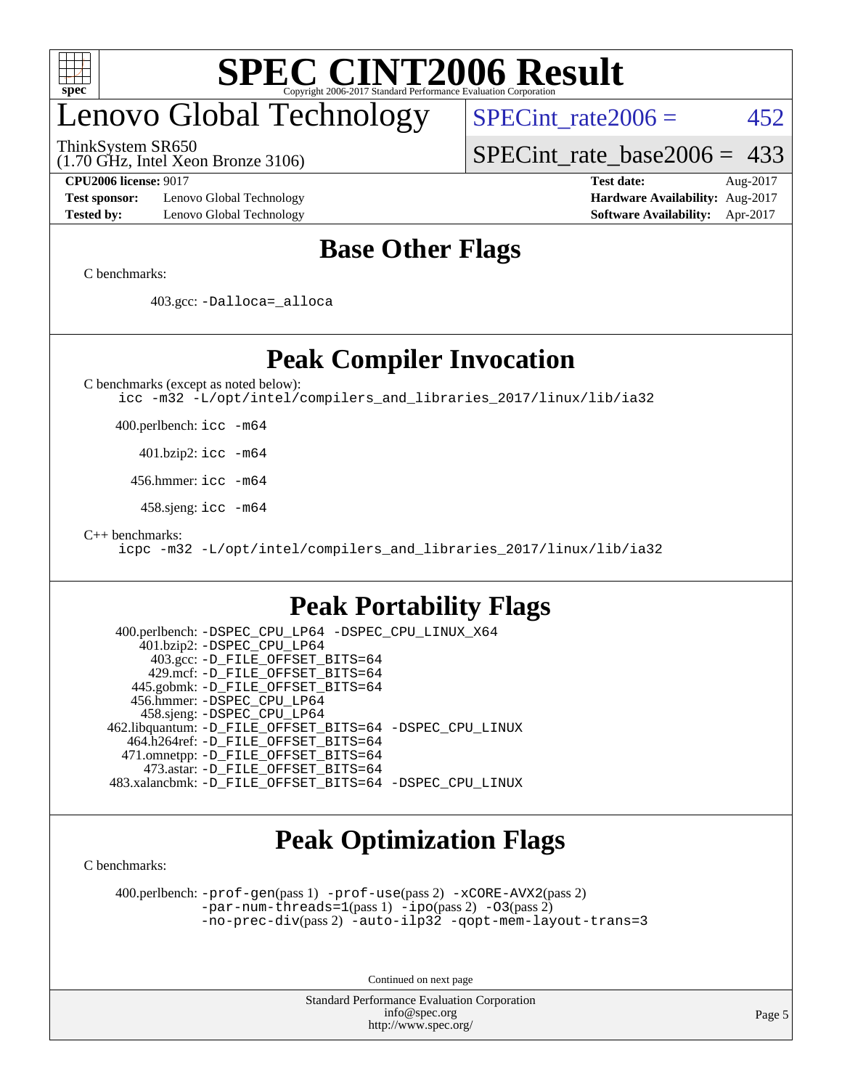

# enovo Global Technology

ThinkSystem SR650

(1.70 GHz, Intel Xeon Bronze 3106)

**[Test sponsor:](http://www.spec.org/auto/cpu2006/Docs/result-fields.html#Testsponsor)** Lenovo Global Technology **[Hardware Availability:](http://www.spec.org/auto/cpu2006/Docs/result-fields.html#HardwareAvailability)** Aug-2017 **[Tested by:](http://www.spec.org/auto/cpu2006/Docs/result-fields.html#Testedby)** Lenovo Global Technology **[Software Availability:](http://www.spec.org/auto/cpu2006/Docs/result-fields.html#SoftwareAvailability)** Apr-2017

 $SPECTnt_rate2006 = 452$ 

[SPECint\\_rate\\_base2006 =](http://www.spec.org/auto/cpu2006/Docs/result-fields.html#SPECintratebase2006)  $433$ 

**[CPU2006 license:](http://www.spec.org/auto/cpu2006/Docs/result-fields.html#CPU2006license)** 9017 **[Test date:](http://www.spec.org/auto/cpu2006/Docs/result-fields.html#Testdate)** Aug-2017

### **[Base Other Flags](http://www.spec.org/auto/cpu2006/Docs/result-fields.html#BaseOtherFlags)**

[C benchmarks](http://www.spec.org/auto/cpu2006/Docs/result-fields.html#Cbenchmarks):

403.gcc: [-Dalloca=\\_alloca](http://www.spec.org/cpu2006/results/res2017q4/cpu2006-20170918-49696.flags.html#b403.gcc_baseEXTRA_CFLAGS_Dalloca_be3056838c12de2578596ca5467af7f3)

**[Peak Compiler Invocation](http://www.spec.org/auto/cpu2006/Docs/result-fields.html#PeakCompilerInvocation)**

[C benchmarks \(except as noted below\)](http://www.spec.org/auto/cpu2006/Docs/result-fields.html#Cbenchmarksexceptasnotedbelow):

[icc -m32 -L/opt/intel/compilers\\_and\\_libraries\\_2017/linux/lib/ia32](http://www.spec.org/cpu2006/results/res2017q4/cpu2006-20170918-49696.flags.html#user_CCpeak_intel_icc_c29f3ff5a7ed067b11e4ec10a03f03ae)

400.perlbench: [icc -m64](http://www.spec.org/cpu2006/results/res2017q4/cpu2006-20170918-49696.flags.html#user_peakCCLD400_perlbench_intel_icc_64bit_bda6cc9af1fdbb0edc3795bac97ada53)

401.bzip2: [icc -m64](http://www.spec.org/cpu2006/results/res2017q4/cpu2006-20170918-49696.flags.html#user_peakCCLD401_bzip2_intel_icc_64bit_bda6cc9af1fdbb0edc3795bac97ada53)

456.hmmer: [icc -m64](http://www.spec.org/cpu2006/results/res2017q4/cpu2006-20170918-49696.flags.html#user_peakCCLD456_hmmer_intel_icc_64bit_bda6cc9af1fdbb0edc3795bac97ada53)

458.sjeng: [icc -m64](http://www.spec.org/cpu2006/results/res2017q4/cpu2006-20170918-49696.flags.html#user_peakCCLD458_sjeng_intel_icc_64bit_bda6cc9af1fdbb0edc3795bac97ada53)

[C++ benchmarks:](http://www.spec.org/auto/cpu2006/Docs/result-fields.html#CXXbenchmarks)

[icpc -m32 -L/opt/intel/compilers\\_and\\_libraries\\_2017/linux/lib/ia32](http://www.spec.org/cpu2006/results/res2017q4/cpu2006-20170918-49696.flags.html#user_CXXpeak_intel_icpc_8c35c7808b62dab9ae41a1aa06361b6b)

### **[Peak Portability Flags](http://www.spec.org/auto/cpu2006/Docs/result-fields.html#PeakPortabilityFlags)**

```
 400.perlbench: -DSPEC_CPU_LP64 -DSPEC_CPU_LINUX_X64
    401.bzip2: -DSPEC_CPU_LP64
      403.gcc: -D_FILE_OFFSET_BITS=64
     429.mcf: -D_FILE_OFFSET_BITS=64
   445.gobmk: -D_FILE_OFFSET_BITS=64
   456.hmmer: -DSPEC_CPU_LP64
    458.sjeng: -DSPEC_CPU_LP64
462.libquantum: -D_FILE_OFFSET_BITS=64 -DSPEC_CPU_LINUX
  464.h264ref: -D_FILE_OFFSET_BITS=64
  471.omnetpp: -D_FILE_OFFSET_BITS=64
     473.astar: -D_FILE_OFFSET_BITS=64
483.xalancbmk: -D_FILE_OFFSET_BITS=64 -DSPEC_CPU_LINUX
```
### **[Peak Optimization Flags](http://www.spec.org/auto/cpu2006/Docs/result-fields.html#PeakOptimizationFlags)**

[C benchmarks](http://www.spec.org/auto/cpu2006/Docs/result-fields.html#Cbenchmarks):

 400.perlbench: [-prof-gen](http://www.spec.org/cpu2006/results/res2017q4/cpu2006-20170918-49696.flags.html#user_peakPASS1_CFLAGSPASS1_LDCFLAGS400_perlbench_prof_gen_e43856698f6ca7b7e442dfd80e94a8fc)(pass 1) [-prof-use](http://www.spec.org/cpu2006/results/res2017q4/cpu2006-20170918-49696.flags.html#user_peakPASS2_CFLAGSPASS2_LDCFLAGS400_perlbench_prof_use_bccf7792157ff70d64e32fe3e1250b55)(pass 2) [-xCORE-AVX2](http://www.spec.org/cpu2006/results/res2017q4/cpu2006-20170918-49696.flags.html#user_peakPASS2_CFLAGSPASS2_LDCFLAGS400_perlbench_f-xCORE-AVX2)(pass 2)  $-par-num-threads=1(pass 1) -ipo(pass 2) -O3(pass 2)$  $-par-num-threads=1(pass 1) -ipo(pass 2) -O3(pass 2)$  $-par-num-threads=1(pass 1) -ipo(pass 2) -O3(pass 2)$  $-par-num-threads=1(pass 1) -ipo(pass 2) -O3(pass 2)$  $-par-num-threads=1(pass 1) -ipo(pass 2) -O3(pass 2)$  $-par-num-threads=1(pass 1) -ipo(pass 2) -O3(pass 2)$ [-no-prec-div](http://www.spec.org/cpu2006/results/res2017q4/cpu2006-20170918-49696.flags.html#user_peakPASS2_CFLAGSPASS2_LDCFLAGS400_perlbench_f-no-prec-div)(pass 2) [-auto-ilp32](http://www.spec.org/cpu2006/results/res2017q4/cpu2006-20170918-49696.flags.html#user_peakCOPTIMIZE400_perlbench_f-auto-ilp32) [-qopt-mem-layout-trans=3](http://www.spec.org/cpu2006/results/res2017q4/cpu2006-20170918-49696.flags.html#user_peakCOPTIMIZE400_perlbench_f-qopt-mem-layout-trans_170f5be61cd2cedc9b54468c59262d5d)

Continued on next page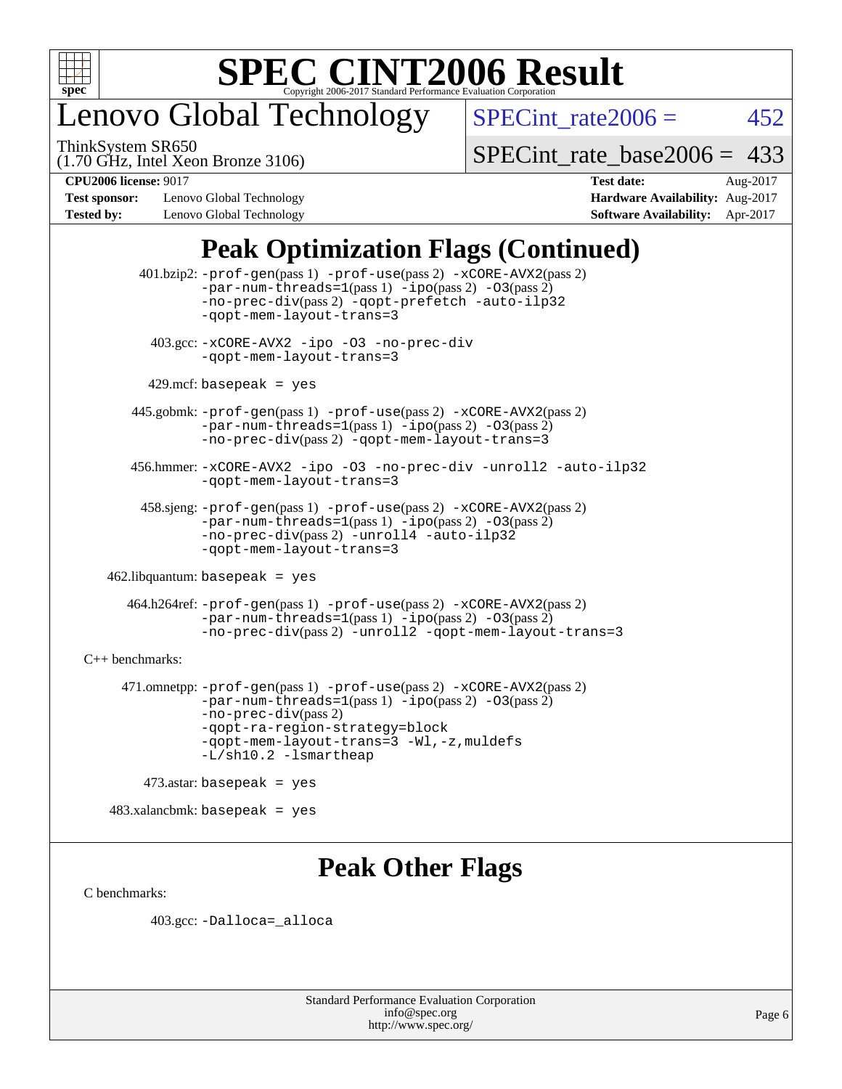

# enovo Global Technology

ThinkSystem SR650

 $SPECTnt_rate2006 = 452$ 

(1.70 GHz, Intel Xeon Bronze 3106)

[SPECint\\_rate\\_base2006 =](http://www.spec.org/auto/cpu2006/Docs/result-fields.html#SPECintratebase2006) 433

**[Test sponsor:](http://www.spec.org/auto/cpu2006/Docs/result-fields.html#Testsponsor)** Lenovo Global Technology **[Hardware Availability:](http://www.spec.org/auto/cpu2006/Docs/result-fields.html#HardwareAvailability)** Aug-2017 **[Tested by:](http://www.spec.org/auto/cpu2006/Docs/result-fields.html#Testedby)** Lenovo Global Technology **[Software Availability:](http://www.spec.org/auto/cpu2006/Docs/result-fields.html#SoftwareAvailability)** Apr-2017

**[CPU2006 license:](http://www.spec.org/auto/cpu2006/Docs/result-fields.html#CPU2006license)** 9017 **[Test date:](http://www.spec.org/auto/cpu2006/Docs/result-fields.html#Testdate)** Aug-2017

### **[Peak Optimization Flags \(Continued\)](http://www.spec.org/auto/cpu2006/Docs/result-fields.html#PeakOptimizationFlags)**

|                                 | 401.bzip2: -prof-gen(pass 1) -prof-use(pass 2) -xCORE-AVX2(pass 2)<br>$-par-num-threads=1(pass 1) -ipo(pass 2) -03(pass 2)$<br>-no-prec-div(pass 2) -qopt-prefetch -auto-ilp32<br>-gopt-mem-layout-trans=3                                                          |  |  |  |  |
|---------------------------------|---------------------------------------------------------------------------------------------------------------------------------------------------------------------------------------------------------------------------------------------------------------------|--|--|--|--|
|                                 | 403.gcc: -xCORE-AVX2 -ipo -03 -no-prec-div<br>-gopt-mem-layout-trans=3                                                                                                                                                                                              |  |  |  |  |
|                                 | $429$ .mcf: basepeak = yes                                                                                                                                                                                                                                          |  |  |  |  |
|                                 | 445.gobmk: -prof-gen(pass 1) -prof-use(pass 2) -xCORE-AVX2(pass 2)<br>$-par-num-threads=1(pass 1) -ipo(pass 2) -03(pass 2)$<br>-no-prec-div(pass 2) -gopt-mem-layout-trans=3                                                                                        |  |  |  |  |
|                                 | 456.hmmer: -xCORE-AVX2 -ipo -03 -no-prec-div -unroll2 -auto-ilp32<br>-qopt-mem-layout-trans=3                                                                                                                                                                       |  |  |  |  |
|                                 | 458.sjeng: -prof-gen(pass 1) -prof-use(pass 2) -xCORE-AVX2(pass 2)<br>$-par-num-threads=1(pass 1) -ipo(pass 2) -03(pass 2)$<br>-no-prec-div(pass 2) -unroll4 -auto-ilp32<br>-gopt-mem-layout-trans=3                                                                |  |  |  |  |
|                                 | $462$ .libquantum: basepeak = yes                                                                                                                                                                                                                                   |  |  |  |  |
|                                 | 464.h264ref: -prof-gen(pass 1) -prof-use(pass 2) -xCORE-AVX2(pass 2)<br>$-par-num-threads=1(pass 1) -ipo(pass 2) -03(pass 2)$<br>-no-prec-div(pass 2) -unroll2 -qopt-mem-layout-trans=3                                                                             |  |  |  |  |
| $C_{++}$ benchmarks:            |                                                                                                                                                                                                                                                                     |  |  |  |  |
|                                 | 471.omnetpp: -prof-gen(pass 1) -prof-use(pass 2) -xCORE-AVX2(pass 2)<br>$-par-num-threads=1(pass 1) -ipo(pass 2) -03(pass 2)$<br>$-no-prec-div(pass 2)$<br>-qopt-ra-region-strategy=block<br>-gopt-mem-layout-trans=3 -Wl,-z, muldefs<br>$-L/\nsh10.2 - lsmartheap$ |  |  |  |  |
|                                 | $473$ . astar: basepeak = yes                                                                                                                                                                                                                                       |  |  |  |  |
| $483.xalanchmk: basepeak = yes$ |                                                                                                                                                                                                                                                                     |  |  |  |  |

### **[Peak Other Flags](http://www.spec.org/auto/cpu2006/Docs/result-fields.html#PeakOtherFlags)**

[C benchmarks](http://www.spec.org/auto/cpu2006/Docs/result-fields.html#Cbenchmarks):

403.gcc: [-Dalloca=\\_alloca](http://www.spec.org/cpu2006/results/res2017q4/cpu2006-20170918-49696.flags.html#b403.gcc_peakEXTRA_CFLAGS_Dalloca_be3056838c12de2578596ca5467af7f3)